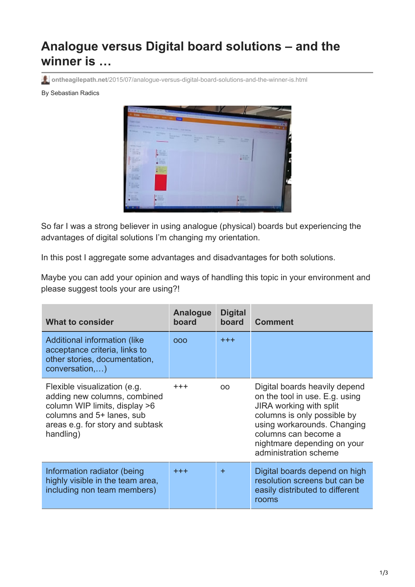## **Analogue versus Digital board solutions – and the winner is …**

**ontheagilepath.net**[/2015/07/analogue-versus-digital-board-solutions-and-the-winner-is.html](https://www.ontheagilepath.net/2015/07/analogue-versus-digital-board-solutions-and-the-winner-is.html)

## By Sebastian Radics



So far I was a strong believer in using analogue (physical) boards but experiencing the advantages of digital solutions I'm changing my orientation.

In this post I aggregate some advantages and disadvantages for both solutions.

Maybe you can add your opinion and ways of handling this topic in your environment and please suggest tools your are using?!

| <b>What to consider</b>                                                                                                                                                     | Analogue<br>board | <b>Digital</b><br>board | <b>Comment</b>                                                                                                                                                                                                                           |
|-----------------------------------------------------------------------------------------------------------------------------------------------------------------------------|-------------------|-------------------------|------------------------------------------------------------------------------------------------------------------------------------------------------------------------------------------------------------------------------------------|
| Additional information (like<br>acceptance criteria, links to<br>other stories, documentation,<br>conversation,)                                                            | 000               | $+ + +$                 |                                                                                                                                                                                                                                          |
| Flexible visualization (e.g.<br>adding new columns, combined<br>column WIP limits, display >6<br>columns and 5+ lanes, sub<br>areas e.g. for story and subtask<br>handling) | $^{+++}$          | OO.                     | Digital boards heavily depend<br>on the tool in use. E.g. using<br>JIRA working with split<br>columns is only possible by<br>using workarounds. Changing<br>columns can become a<br>nightmare depending on your<br>administration scheme |
| Information radiator (being<br>highly visible in the team area,<br>including non team members)                                                                              | $+++$             | $\ddot{}$               | Digital boards depend on high<br>resolution screens but can be<br>easily distributed to different<br>rooms                                                                                                                               |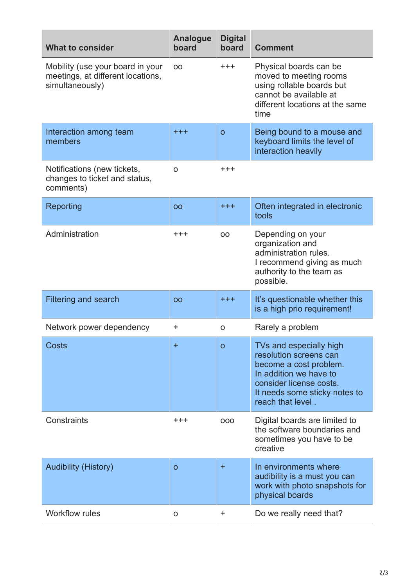| <b>What to consider</b>                                                                  | <b>Analogue</b><br>board | <b>Digital</b><br>board | <b>Comment</b>                                                                                                                                                                         |
|------------------------------------------------------------------------------------------|--------------------------|-------------------------|----------------------------------------------------------------------------------------------------------------------------------------------------------------------------------------|
| Mobility (use your board in your<br>meetings, at different locations,<br>simultaneously) | 00                       | $^{\mathrm{+++}}$       | Physical boards can be<br>moved to meeting rooms<br>using rollable boards but<br>cannot be available at<br>different locations at the same<br>time                                     |
| Interaction among team<br>members                                                        | $^{+ + +}$               | $\mathbf{o}$            | Being bound to a mouse and<br>keyboard limits the level of<br>interaction heavily                                                                                                      |
| Notifications (new tickets,<br>changes to ticket and status,<br>comments)                | O                        | $^{\mathrm{+++}}$       |                                                                                                                                                                                        |
| Reporting                                                                                | <b>OO</b>                | $^{+ + +}$              | Often integrated in electronic<br>tools                                                                                                                                                |
| Administration                                                                           | $^{+ + +}$               | OO                      | Depending on your<br>organization and<br>administration rules.<br>I recommend giving as much<br>authority to the team as<br>possible.                                                  |
| <b>Filtering and search</b>                                                              | OO                       | $^{+++}$                | It's questionable whether this<br>is a high prio requirement!                                                                                                                          |
| Network power dependency                                                                 | +                        | O                       | Rarely a problem                                                                                                                                                                       |
| <b>Costs</b>                                                                             | $\pm$                    | $\mathsf{o}$            | TVs and especially high<br>resolution screens can<br>become a cost problem.<br>In addition we have to<br>consider license costs.<br>It needs some sticky notes to<br>reach that level. |
| Constraints                                                                              | $^{\rm ++}$              | 000                     | Digital boards are limited to<br>the software boundaries and<br>sometimes you have to be<br>creative                                                                                   |
| <b>Audibility (History)</b>                                                              | $\mathbf O$              | $\ddot{}$               | In environments where<br>audibility is a must you can<br>work with photo snapshots for<br>physical boards                                                                              |
| <b>Workflow rules</b>                                                                    | O                        | +                       | Do we really need that?                                                                                                                                                                |